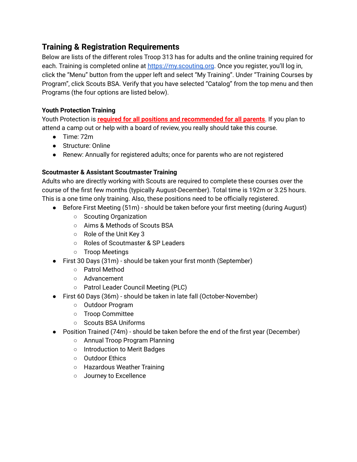# **Training & Registration Requirements**

Below are lists of the different roles Troop 313 has for adults and the online training required for each. Training is completed online at <https://my.scouting.org>. Once you register, you'll log in, click the "Menu" button from the upper left and select "My Training". Under "Training Courses by Program", click Scouts BSA. Verify that you have selected "Catalog" from the top menu and then Programs (the four options are listed below).

### **Youth Protection Training**

Youth Protection is **required for all positions and recommended for all parents**. If you plan to attend a camp out or help with a board of review, you really should take this course.

- Time: 72m
- Structure: Online
- Renew: Annually for registered adults; once for parents who are not registered

## **Scoutmaster & Assistant Scoutmaster Training**

Adults who are directly working with Scouts are required to complete these courses over the course of the first few months (typically August-December). Total time is 192m or 3.25 hours. This is a one time only training. Also, these positions need to be officially registered.

- Before First Meeting (51m) should be taken before your first meeting (during August)
	- Scouting Organization
	- Aims & Methods of Scouts BSA
	- Role of the Unit Key 3
	- Roles of Scoutmaster & SP Leaders
	- Troop Meetings
- First 30 Days (31m) should be taken your first month (September)
	- Patrol Method
	- Advancement
	- Patrol Leader Council Meeting (PLC)
- First 60 Days (36m) should be taken in late fall (October-November)
	- Outdoor Program
	- Troop Committee
	- Scouts BSA Uniforms
- Position Trained (74m) should be taken before the end of the first year (December)
	- Annual Troop Program Planning
	- Introduction to Merit Badges
	- Outdoor Ethics
	- Hazardous Weather Training
	- Journey to Excellence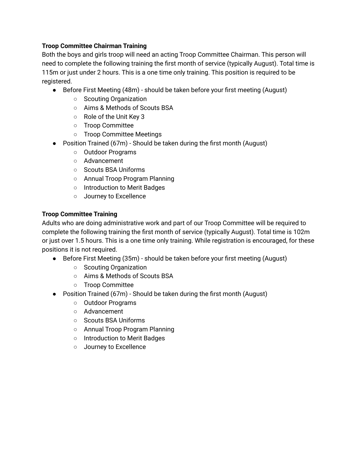#### **Troop Committee Chairman Training**

Both the boys and girls troop will need an acting Troop Committee Chairman. This person will need to complete the following training the first month of service (typically August). Total time is 115m or just under 2 hours. This is a one time only training. This position is required to be registered.

- Before First Meeting (48m) should be taken before your first meeting (August)
	- Scouting Organization
	- Aims & Methods of Scouts BSA
	- Role of the Unit Key 3
	- Troop Committee
	- Troop Committee Meetings
- Position Trained (67m) Should be taken during the first month (August)
	- Outdoor Programs
	- Advancement
	- Scouts BSA Uniforms
	- Annual Troop Program Planning
	- Introduction to Merit Badges
	- Journey to Excellence

#### **Troop Committee Training**

Adults who are doing administrative work and part of our Troop Committee will be required to complete the following training the first month of service (typically August). Total time is 102m or just over 1.5 hours. This is a one time only training. While registration is encouraged, for these positions it is not required.

- Before First Meeting (35m) should be taken before your first meeting (August)
	- Scouting Organization
	- Aims & Methods of Scouts BSA
	- Troop Committee
- Position Trained (67m) Should be taken during the first month (August)
	- Outdoor Programs
	- Advancement
	- Scouts BSA Uniforms
	- Annual Troop Program Planning
	- Introduction to Merit Badges
	- Journey to Excellence